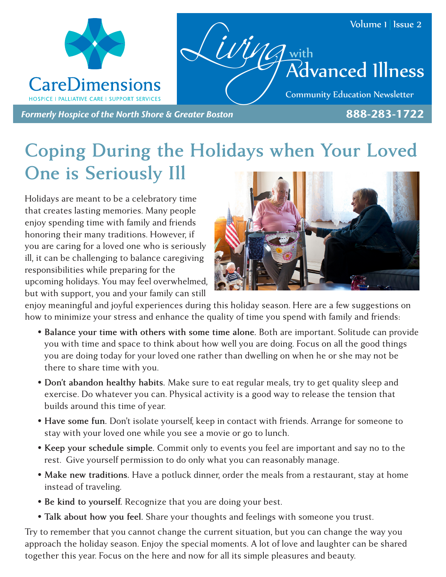

## **Coping During the Holidays when Your Loved One is Seriously Ill**

Holidays are meant to be a celebratory time that creates lasting memories. Many people enjoy spending time with family and friends honoring their many traditions. However, if you are caring for a loved one who is seriously ill, it can be challenging to balance caregiving responsibilities while preparing for the upcoming holidays. You may feel overwhelmed, but with support, you and your family can still



enjoy meaningful and joyful experiences during this holiday season. Here are a few suggestions on how to minimize your stress and enhance the quality of time you spend with family and friends:

- **• Balance your time with others with some time alone.** Both are important. Solitude can provide you with time and space to think about how well you are doing. Focus on all the good things you are doing today for your loved one rather than dwelling on when he or she may not be there to share time with you.
- **• Don't abandon healthy habits.** Make sure to eat regular meals, try to get quality sleep and exercise. Do whatever you can. Physical activity is a good way to release the tension that builds around this time of year.
- **• Have some fun.** Don't isolate yourself, keep in contact with friends. Arrange for someone to stay with your loved one while you see a movie or go to lunch.
- **• Keep your schedule simple.** Commit only to events you feel are important and say no to the rest. Give yourself permission to do only what you can reasonably manage.
- Make new traditions. Have a potluck dinner, order the meals from a restaurant, stay at home instead of traveling.
- **• Be kind to yourself.** Recognize that you are doing your best.
- **• Talk about how you feel.** Share your thoughts and feelings with someone you trust.

Try to remember that you cannot change the current situation, but you can change the way you approach the holiday season. Enjoy the special moments. A lot of love and laughter can be shared together this year. Focus on the here and now for all its simple pleasures and beauty.